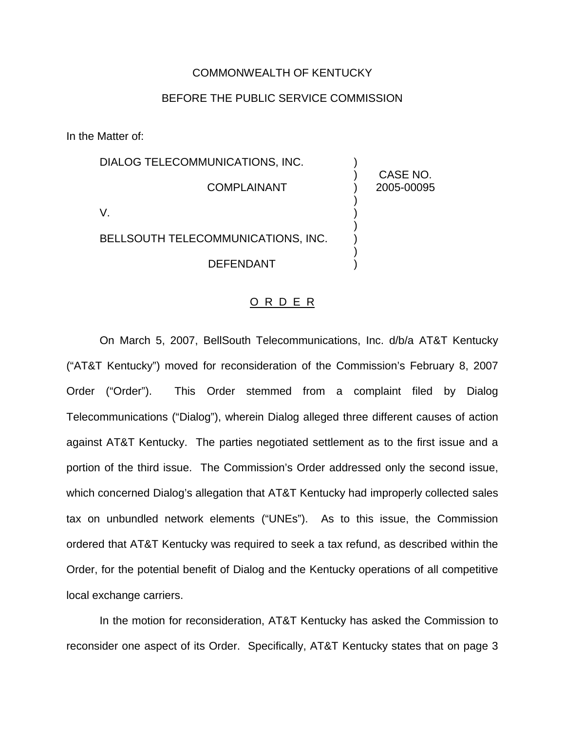## COMMONWEALTH OF KENTUCKY

## BEFORE THE PUBLIC SERVICE COMMISSION

In the Matter of:

| DIALOG TELECOMMUNICATIONS, INC.    |                        |
|------------------------------------|------------------------|
| <b>COMPLAINANT</b>                 | CASE NO.<br>2005-00095 |
|                                    |                        |
| BELLSOUTH TELECOMMUNICATIONS, INC. |                        |
| DEFENDANT                          |                        |

## O R D E R

On March 5, 2007, BellSouth Telecommunications, Inc. d/b/a AT&T Kentucky ("AT&T Kentucky") moved for reconsideration of the Commission's February 8, 2007 Order ("Order"). This Order stemmed from a complaint filed by Dialog Telecommunications ("Dialog"), wherein Dialog alleged three different causes of action against AT&T Kentucky. The parties negotiated settlement as to the first issue and a portion of the third issue. The Commission's Order addressed only the second issue, which concerned Dialog's allegation that AT&T Kentucky had improperly collected sales tax on unbundled network elements ("UNEs"). As to this issue, the Commission ordered that AT&T Kentucky was required to seek a tax refund, as described within the Order, for the potential benefit of Dialog and the Kentucky operations of all competitive local exchange carriers.

In the motion for reconsideration, AT&T Kentucky has asked the Commission to reconsider one aspect of its Order. Specifically, AT&T Kentucky states that on page 3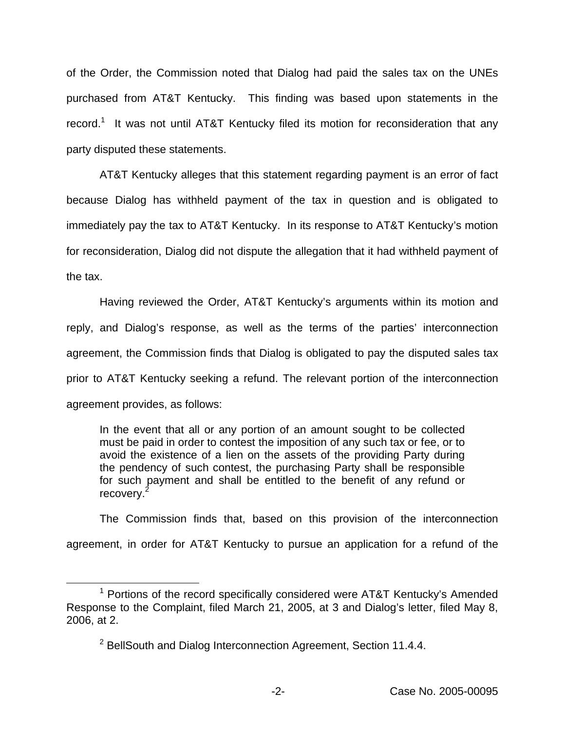of the Order, the Commission noted that Dialog had paid the sales tax on the UNEs purchased from AT&T Kentucky. This finding was based upon statements in the record.<sup>1</sup> It was not until AT&T Kentucky filed its motion for reconsideration that any party disputed these statements.

AT&T Kentucky alleges that this statement regarding payment is an error of fact because Dialog has withheld payment of the tax in question and is obligated to immediately pay the tax to AT&T Kentucky. In its response to AT&T Kentucky's motion for reconsideration, Dialog did not dispute the allegation that it had withheld payment of the tax.

Having reviewed the Order, AT&T Kentucky's arguments within its motion and reply, and Dialog's response, as well as the terms of the parties' interconnection agreement, the Commission finds that Dialog is obligated to pay the disputed sales tax prior to AT&T Kentucky seeking a refund. The relevant portion of the interconnection agreement provides, as follows:

In the event that all or any portion of an amount sought to be collected must be paid in order to contest the imposition of any such tax or fee, or to avoid the existence of a lien on the assets of the providing Party during the pendency of such contest, the purchasing Party shall be responsible for such payment and shall be entitled to the benefit of any refund or recovery.<sup>2</sup>

The Commission finds that, based on this provision of the interconnection agreement, in order for AT&T Kentucky to pursue an application for a refund of the

 $1$  Portions of the record specifically considered were AT&T Kentucky's Amended Response to the Complaint, filed March 21, 2005, at 3 and Dialog's letter, filed May 8, 2006, at 2.

 $2$  BellSouth and Dialog Interconnection Agreement, Section 11.4.4.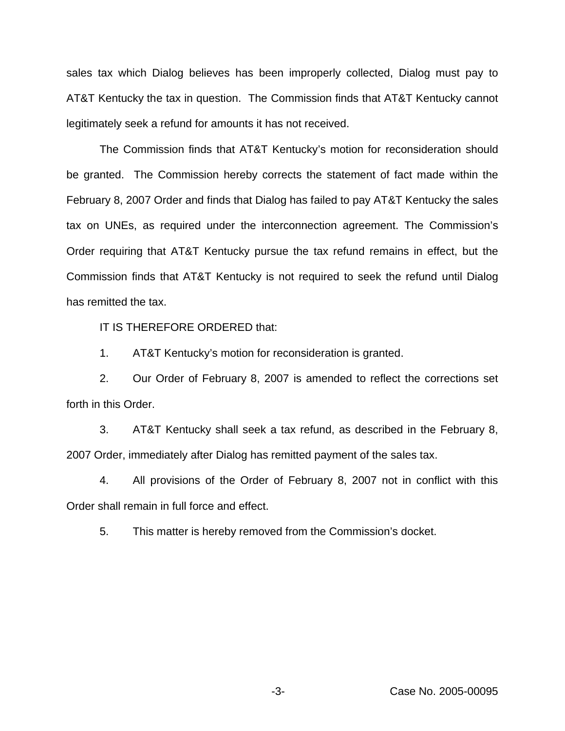sales tax which Dialog believes has been improperly collected, Dialog must pay to AT&T Kentucky the tax in question. The Commission finds that AT&T Kentucky cannot legitimately seek a refund for amounts it has not received.

The Commission finds that AT&T Kentucky's motion for reconsideration should be granted. The Commission hereby corrects the statement of fact made within the February 8, 2007 Order and finds that Dialog has failed to pay AT&T Kentucky the sales tax on UNEs, as required under the interconnection agreement. The Commission's Order requiring that AT&T Kentucky pursue the tax refund remains in effect, but the Commission finds that AT&T Kentucky is not required to seek the refund until Dialog has remitted the tax.

IT IS THEREFORE ORDERED that:

1. AT&T Kentucky's motion for reconsideration is granted.

2. Our Order of February 8, 2007 is amended to reflect the corrections set forth in this Order.

3. AT&T Kentucky shall seek a tax refund, as described in the February 8, 2007 Order, immediately after Dialog has remitted payment of the sales tax.

4. All provisions of the Order of February 8, 2007 not in conflict with this Order shall remain in full force and effect.

5. This matter is hereby removed from the Commission's docket.